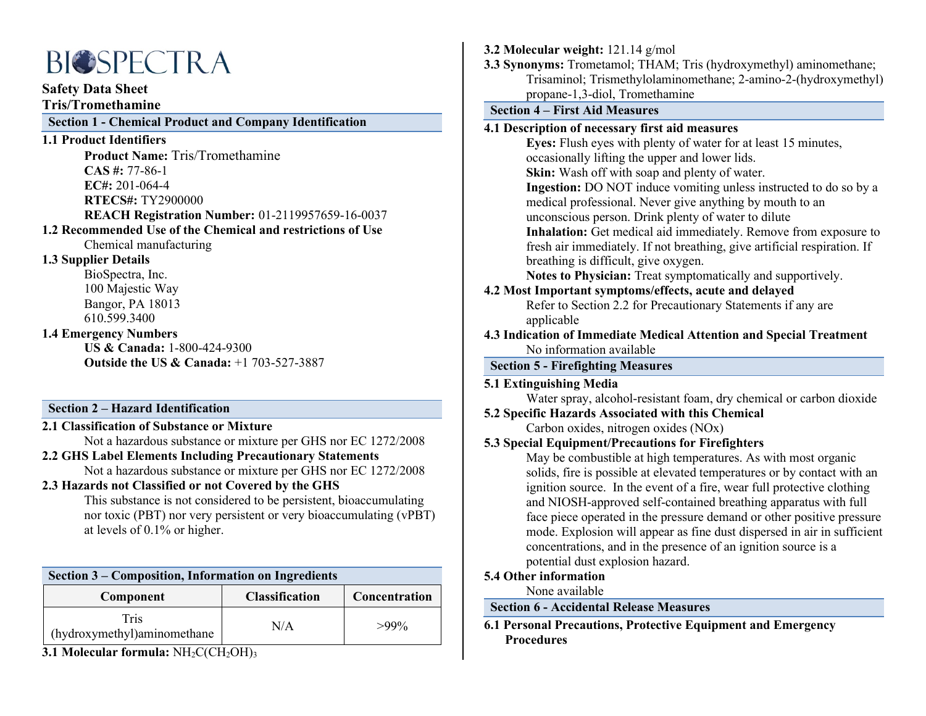# **BIOSPECTRA**

**Safety Data Sheet**

**Tris/Tromethamine**

# **Section 1 - Chemical Product and Company Identification**

# **1.1 Product Identifiers**

**Product Name:** Tris/Tromethamine **CAS #:** 77-86-1 **EC#:** 201-064-4 **RTECS#:** TY2900000 **REACH Registration Number:** 01-2119957659-16-0037

# **1.2 Recommended Use of the Chemical and restrictions of Use**

Chemical manufacturing

# **1.3 Supplier Details**

BioSpectra, Inc. 100 Majestic Way Bangor, PA 18013 610.599.3400

# **1.4 Emergency Numbers**

**US & Canada:** 1-800-424-9300 **Outside the US & Canada:** +1 703-527-3887

# **Section 2 – Hazard Identification**

**2.1 Classification of Substance or Mixture**

Not a hazardous substance or mixture per GHS nor EC 1272/2008

# **2.2 GHS Label Elements Including Precautionary Statements**

Not a hazardous substance or mixture per GHS nor EC 1272/2008

# **2.3 Hazards not Classified or not Covered by the GHS**

This substance is not considered to be persistent, bioaccumulating nor toxic (PBT) nor very persistent or very bioaccumulating (vPBT) at levels of 0.1% or higher.

| Section 3 – Composition, Information on Ingredients |                       |               |  |  |  |
|-----------------------------------------------------|-----------------------|---------------|--|--|--|
| Component                                           | <b>Classification</b> | Concentration |  |  |  |
| <b>Tris</b><br>(hydroxymethyl)aminomethane          | N/A                   | $>99\%$       |  |  |  |

**3.1 Molecular formula:** NH<sub>2</sub>C(CH<sub>2</sub>OH)<sub>3</sub>

# **3.2 Molecular weight:** 121.14 g/mol

**3.3 Synonyms:** Trometamol; THAM; Tris (hydroxymethyl) aminomethane; Trisaminol; Trismethylolaminomethane; 2-amino-2-(hydroxymethyl) propane-1,3-diol, Tromethamine

# **Section 4 – First Aid Measures**

# **4.1 Description of necessary first aid measures**

**Eyes:** Flush eyes with plenty of water for at least 15 minutes, occasionally lifting the upper and lower lids. **Skin:** Wash off with soap and plenty of water. **Ingestion:** DO NOT induce vomiting unless instructed to do so by a medical professional. Never give anything by mouth to an unconscious person. Drink plenty of water to dilute **Inhalation:** Get medical aid immediately. Remove from exposure to fresh air immediately. If not breathing, give artificial respiration. If breathing is difficult, give oxygen.

**Notes to Physician:** Treat symptomatically and supportively.

# **4.2 Most Important symptoms/effects, acute and delayed**

Refer to Section 2.2 for Precautionary Statements if any are applicable

**4.3 Indication of Immediate Medical Attention and Special Treatment** No information available

# **Section 5 - Firefighting Measures**

# **5.1 Extinguishing Media**

Water spray, alcohol-resistant foam, dry chemical or carbon dioxide

**5.2 Specific Hazards Associated with this Chemical**

Carbon oxides, nitrogen oxides (NOx)

# **5.3 Special Equipment/Precautions for Firefighters**

May be combustible at high temperatures. As with most organic solids, fire is possible at elevated temperatures or by contact with an ignition source. In the event of a fire, wear full protective clothing and NIOSH-approved self-contained breathing apparatus with full face piece operated in the pressure demand or other positive pressure mode. Explosion will appear as fine dust dispersed in air in sufficient concentrations, and in the presence of an ignition source is a potential dust explosion hazard.

# **5.4 Other information**

None available

# **Section 6 - Accidental Release Measures**

**6.1 Personal Precautions, Protective Equipment and Emergency Procedures**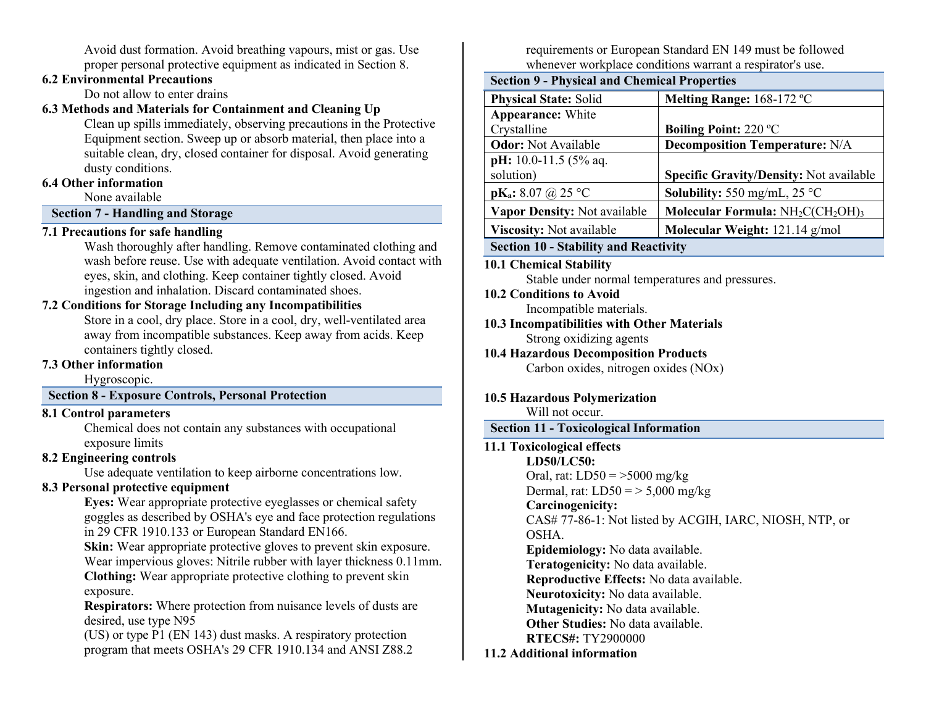Avoid dust formation. Avoid breathing vapours, mist or gas. Use proper personal protective equipment as indicated in Section 8.

# **6.2 Environmental Precautions**

Do not allow to enter drains

# **6.3 Methods and Materials for Containment and Cleaning Up**

Clean up spills immediately, observing precautions in the Protective Equipment section. Sweep up or absorb material, then place into a suitable clean, dry, closed container for disposal. Avoid generating dusty conditions.

# **6.4 Other information**

None available

# **Section 7 - Handling and Storage**

# **7.1 Precautions for safe handling**

Wash thoroughly after handling. Remove contaminated clothing and wash before reuse. Use with adequate ventilation. Avoid contact with eyes, skin, and clothing. Keep container tightly closed. Avoid ingestion and inhalation. Discard contaminated shoes.

# **7.2 Conditions for Storage Including any Incompatibilities**

Store in a cool, dry place. Store in a cool, dry, well-ventilated area away from incompatible substances. Keep away from acids. Keep containers tightly closed.

# **7.3 Other information**

Hygroscopic.

# **Section 8 - Exposure Controls, Personal Protection**

# **8.1 Control parameters**

Chemical does not contain any substances with occupational exposure limits

# **8.2 Engineering controls**

Use adequate ventilation to keep airborne concentrations low.

# **8.3 Personal protective equipment**

**Eyes:** Wear appropriate protective eyeglasses or chemical safety goggles as described by OSHA's eye and face protection regulations in 29 CFR 1910.133 or European Standard EN166.

**Skin:** Wear appropriate protective gloves to prevent skin exposure. Wear impervious gloves: Nitrile rubber with layer thickness 0.11mm.

**Clothing:** Wear appropriate protective clothing to prevent skin exposure.

**Respirators:** Where protection from nuisance levels of dusts are desired, use type N95

(US) or type P1 (EN 143) dust masks. A respiratory protection program that meets OSHA's 29 CFR 1910.134 and ANSI Z88.2 requirements or European Standard EN 149 must be followed whenever workplace conditions warrant a respirator's use.

| <b>Section 9 - Physical and Chemical Properties</b> |                                               |  |  |  |
|-----------------------------------------------------|-----------------------------------------------|--|--|--|
| <b>Physical State: Solid</b>                        | Melting Range: 168-172 °C                     |  |  |  |
| <b>Appearance:</b> White                            |                                               |  |  |  |
| Crystalline                                         | <b>Boiling Point: 220 °C</b>                  |  |  |  |
| <b>Odor:</b> Not Available                          | <b>Decomposition Temperature: N/A</b>         |  |  |  |
| pH: 10.0-11.5 (5% aq.                               |                                               |  |  |  |
| solution)                                           | Specific Gravity/Density: Not available       |  |  |  |
| $pK_a: 8.07 \ (a) 25 \ ^{\circ}C$                   | <b>Solubility:</b> 550 mg/mL, 25 $^{\circ}$ C |  |  |  |
| Vapor Density: Not available                        | Molecular Formula: $NH2C(CH2OH)3$             |  |  |  |
| Viscosity: Not available                            | Molecular Weight: 121.14 g/mol                |  |  |  |
|                                                     |                                               |  |  |  |

# **Section 10 - Stability and Reactivity**

**10.1 Chemical Stability**

Stable under normal temperatures and pressures.

# **10.2 Conditions to Avoid**

Incompatible materials.

#### **10.3 Incompatibilities with Other Materials** Strong oxidizing agents

**10.4 Hazardous Decomposition Products** Carbon oxides, nitrogen oxides (NOx)

# **10.5 Hazardous Polymerization**

Will not occur.

# **Section 11 - Toxicological Information**

#### **11.1 Toxicological effects**

**LD50/LC50:** Oral, rat:  $LD50 = 5000$  mg/kg Dermal, rat:  $LD50 = > 5,000$  mg/kg **Carcinogenicity:** CAS# 77-86-1: Not listed by ACGIH, IARC, NIOSH, NTP, or

OSHA.

**Epidemiology:** No data available.

**Teratogenicity:** No data available.

**Reproductive Effects:** No data available.

**Neurotoxicity:** No data available.

**Mutagenicity:** No data available.

**Other Studies:** No data available.

**RTECS#:** TY2900000 **11.2 Additional information**